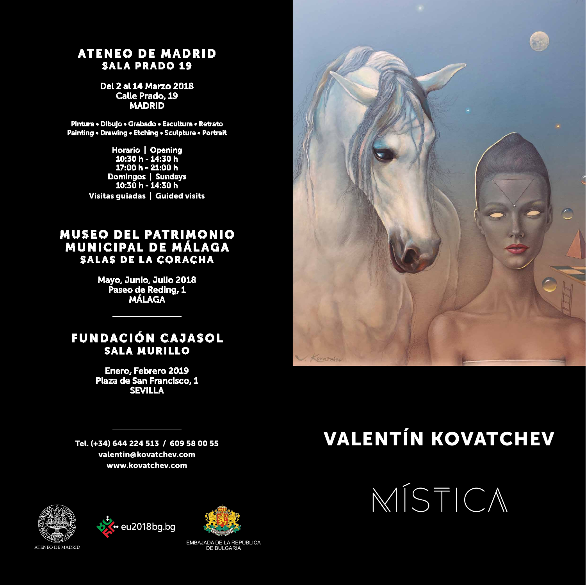#### ATENEO DE MADRID SALA PRADO 19

#### Del 2 al 14 Marzo 2018 Calle Prado, 19 **MADRID**

Pintura • Dibujo • Grabado • Escultura • Retrato Painting • Drawing • Etching • Sculpture • Portrait

> Horario | Opening 10:30 h - 14:30 h 17:00 h - 21:00 h Domingos | Sundays 10:30 h - 14:30 h Visitas guiadas | Guided visits

### **MUSEO DEL PATRIMONIO** MUNICIPAL DE MÁLAGA SALAS DE LA CORACHA

Mayo, Junio, Julio 2018 Paseo de Reding, 1 MÁLAGA

## FUNDACIÓN CAJASOL SALA MURILLO

Enero, Febrero 2019 Plaza de San Francisco, 1 **SEVILLA** 

Tel. (+34) 644 224 513 / 609 58 00 55 valentin@kovatchev.com www.kovatchev.com



# VALENTÍN KOVATCHEV





 $\bullet$   $\bullet$  eu2018bg.bg



EMBAJADA DE LA REPÚBLICA DE BULGARIA